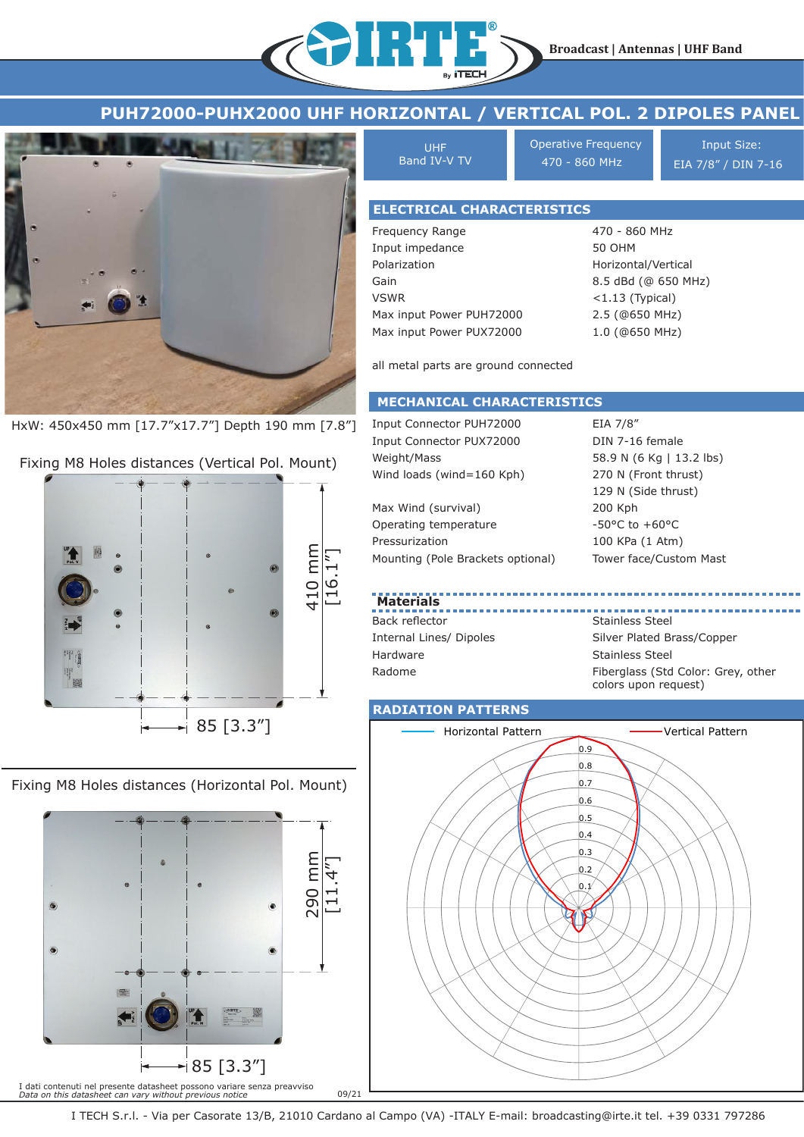



HxW: 450x450 mm [17.7"x17.7"] Depth 190 mm [7.8"]

Fixing M8 Holes distances (Vertical Pol. Mount)



Fixing M8 Holes distances (Horizontal Pol. Mount)  $\sqrt{\sqrt{2}}$ 



| <b>UHF</b><br>Band IV-V TV        | <b>Operative Frequency</b><br>470 - 860 MHz           | <b>Input Size:</b><br>EIA 7/8" / DIN 7-16 |
|-----------------------------------|-------------------------------------------------------|-------------------------------------------|
|                                   |                                                       |                                           |
| <b>ELECTRICAL CHARACTERISTICS</b> |                                                       |                                           |
| Frequency Range                   | 470 - 860 MHz                                         |                                           |
| Input impedance                   | 50 OHM                                                |                                           |
| Polarization                      | Horizontal/Vertical                                   |                                           |
| $C_{\rm min}$                     | $O E$ $A$ $D$ $A$ $I$ $O$ $E$ $E$ $O$ $M$ $H$ $I$ $J$ |                                           |

Gain VSWR Max input Power PUH72000 Max input Power PUX72000 8.5 dBd (@ 650 MHz) <1.13 (Typical) 2.5 (@650 MHz) 1.0 (@650 MHz)

all metal parts are ground connected

## **MECHANICAL CHARACTERISTICS**

Input Connector PUH72000 Input Connector PUX72000 Weight/Mass Wind loads (wind=160 Kph)

Max Wind (survival) Operating temperature Pressurization Mounting (Pole Brackets optional)

EIA 7/8" DIN 7-16 female 58.9 N (6 Kg | 13.2 lbs) 270 N (Front thrust) 129 N (Side thrust) 200 Kph -50°C to +60°C 100 KPa (1 Atm) Tower face/Custom Mast

## **Materials**

Back reflector Internal Lines/ Dipoles Hardware Radome

Stainless Steel Silver Plated Brass/Copper Stainless Steel Fiberglass (Std Color: Grey, other colors upon request)

## **RADIATION PATTERNS**



I TECH S.r.l. - Via per Casorate 13/B, 21010 Cardano al Campo (VA) -ITALY E-mail: broadcasting@irte.it tel. +39 0331 797286